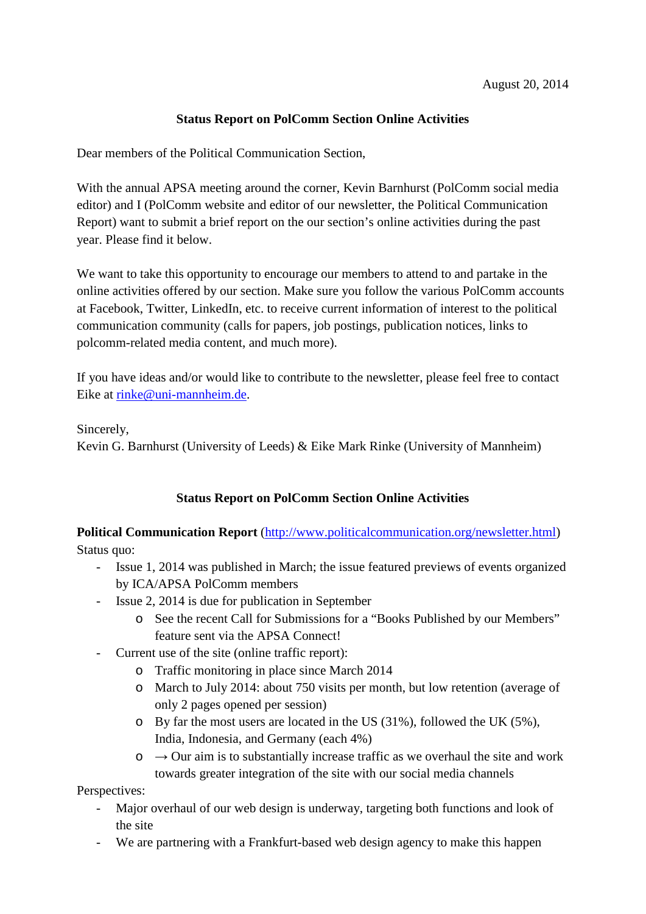## **Status Report on PolComm Section Online Activities**

Dear members of the Political Communication Section,

With the annual APSA meeting around the corner, Kevin Barnhurst (PolComm social media editor) and I (PolComm website and editor of our newsletter, the Political Communication Report) want to submit a brief report on the our section's online activities during the past year. Please find it below.

We want to take this opportunity to encourage our members to attend to and partake in the online activities offered by our section. Make sure you follow the various PolComm accounts at Facebook, Twitter, LinkedIn, etc. to receive current information of interest to the political communication community (calls for papers, job postings, publication notices, links to polcomm-related media content, and much more).

If you have ideas and/or would like to contribute to the newsletter, please feel free to contact Eike at [rinke@uni-mannheim.de.](mailto:rinke@uni-mannheim.de)

Sincerely,

Kevin G. Barnhurst (University of Leeds) & Eike Mark Rinke (University of Mannheim)

## **Status Report on PolComm Section Online Activities**

**Political Communication Report** [\(http://www.politicalcommunication.org/newsletter.html\)](http://www.politicalcommunication.org/newsletter.html) Status quo:

- Issue 1, 2014 was published in March; the issue featured previews of events organized by ICA/APSA PolComm members
- Issue 2, 2014 is due for publication in September
	- o See the recent Call for Submissions for a "Books Published by our Members" feature sent via the APSA Connect!
- Current use of the site (online traffic report):
	- o Traffic monitoring in place since March 2014
	- o March to July 2014: about 750 visits per month, but low retention (average of only 2 pages opened per session)
	- o By far the most users are located in the US (31%), followed the UK (5%), India, Indonesia, and Germany (each 4%)
	- $\circ \rightarrow$  Our aim is to substantially increase traffic as we overhaul the site and work towards greater integration of the site with our social media channels

Perspectives:

- Major overhaul of our web design is underway, targeting both functions and look of the site
- We are partnering with a Frankfurt-based web design agency to make this happen